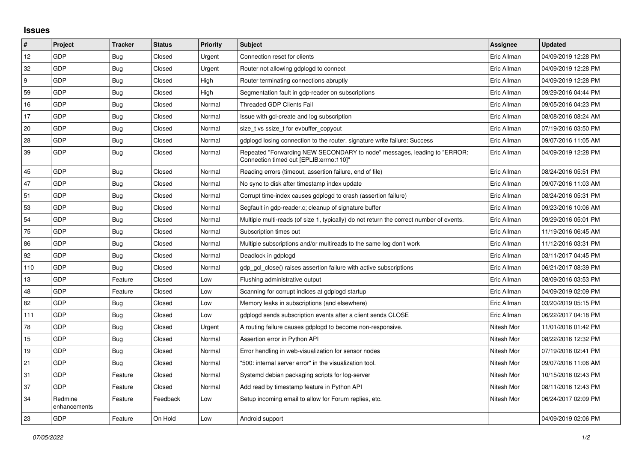## **Issues**

| #   | Project                 | <b>Tracker</b> | <b>Status</b> | Priority | <b>Subject</b>                                                                                                      | Assignee    | <b>Updated</b>      |
|-----|-------------------------|----------------|---------------|----------|---------------------------------------------------------------------------------------------------------------------|-------------|---------------------|
| 12  | GDP                     | <b>Bug</b>     | Closed        | Urgent   | Connection reset for clients                                                                                        | Eric Allman | 04/09/2019 12:28 PM |
| 32  | GDP                     | <b>Bug</b>     | Closed        | Urgent   | Router not allowing gdplogd to connect                                                                              | Eric Allman | 04/09/2019 12:28 PM |
| 9   | GDP                     | Bug            | Closed        | High     | Router terminating connections abruptly                                                                             | Eric Allman | 04/09/2019 12:28 PM |
| 59  | GDP                     | <b>Bug</b>     | Closed        | High     | Segmentation fault in gdp-reader on subscriptions                                                                   | Eric Allman | 09/29/2016 04:44 PM |
| 16  | GDP                     | <b>Bug</b>     | Closed        | Normal   | <b>Threaded GDP Clients Fail</b>                                                                                    | Eric Allman | 09/05/2016 04:23 PM |
| 17  | GDP                     | Bug            | Closed        | Normal   | Issue with gcl-create and log subscription                                                                          | Eric Allman | 08/08/2016 08:24 AM |
| 20  | GDP                     | <b>Bug</b>     | Closed        | Normal   | size t vs ssize t for evbuffer copyout                                                                              | Eric Allman | 07/19/2016 03:50 PM |
| 28  | GDP                     | <b>Bug</b>     | Closed        | Normal   | gdplogd losing connection to the router. signature write failure: Success                                           | Eric Allman | 09/07/2016 11:05 AM |
| 39  | GDP                     | <b>Bug</b>     | Closed        | Normal   | Repeated "Forwarding NEW SECONDARY to node" messages, leading to "ERROR:<br>Connection timed out [EPLIB:errno:110]" | Eric Allman | 04/09/2019 12:28 PM |
| 45  | GDP                     | <b>Bug</b>     | Closed        | Normal   | Reading errors (timeout, assertion failure, end of file)                                                            | Eric Allman | 08/24/2016 05:51 PM |
| 47  | GDP                     | <b>Bug</b>     | Closed        | Normal   | No sync to disk after timestamp index update                                                                        | Eric Allman | 09/07/2016 11:03 AM |
| 51  | GDP                     | <b>Bug</b>     | Closed        | Normal   | Corrupt time-index causes gdplogd to crash (assertion failure)                                                      | Eric Allman | 08/24/2016 05:31 PM |
| 53  | GDP                     | <b>Bug</b>     | Closed        | Normal   | Segfault in gdp-reader.c; cleanup of signature buffer                                                               | Eric Allman | 09/23/2016 10:06 AM |
| 54  | GDP                     | Bug            | Closed        | Normal   | Multiple multi-reads (of size 1, typically) do not return the correct number of events.                             | Eric Allman | 09/29/2016 05:01 PM |
| 75  | GDP                     | <b>Bug</b>     | Closed        | Normal   | Subscription times out                                                                                              | Eric Allman | 11/19/2016 06:45 AM |
| 86  | GDP                     | <b>Bug</b>     | Closed        | Normal   | Multiple subscriptions and/or multireads to the same log don't work                                                 | Eric Allman | 11/12/2016 03:31 PM |
| 92  | GDP                     | <b>Bug</b>     | Closed        | Normal   | Deadlock in gdplogd                                                                                                 | Eric Allman | 03/11/2017 04:45 PM |
| 110 | <b>GDP</b>              | Bug            | Closed        | Normal   | gdp gcl close() raises assertion failure with active subscriptions                                                  | Eric Allman | 06/21/2017 08:39 PM |
| 13  | GDP                     | Feature        | Closed        | Low      | Flushing administrative output                                                                                      | Eric Allman | 08/09/2016 03:53 PM |
| 48  | GDP                     | Feature        | Closed        | Low      | Scanning for corrupt indices at gdplogd startup                                                                     | Eric Allman | 04/09/2019 02:09 PM |
| 82  | GDP                     | <b>Bug</b>     | Closed        | Low      | Memory leaks in subscriptions (and elsewhere)                                                                       | Eric Allman | 03/20/2019 05:15 PM |
| 111 | GDP                     | Bug            | Closed        | Low      | gdplogd sends subscription events after a client sends CLOSE                                                        | Eric Allman | 06/22/2017 04:18 PM |
| 78  | GDP                     | Bug            | Closed        | Urgent   | A routing failure causes gdplogd to become non-responsive.                                                          | Nitesh Mor  | 11/01/2016 01:42 PM |
| 15  | GDP                     | <b>Bug</b>     | Closed        | Normal   | Assertion error in Python API                                                                                       | Nitesh Mor  | 08/22/2016 12:32 PM |
| 19  | GDP                     | <b>Bug</b>     | Closed        | Normal   | Error handling in web-visualization for sensor nodes                                                                | Nitesh Mor  | 07/19/2016 02:41 PM |
| 21  | GDP                     | Bug            | Closed        | Normal   | '500: internal server error" in the visualization tool.                                                             | Nitesh Mor  | 09/07/2016 11:06 AM |
| 31  | <b>GDP</b>              | Feature        | Closed        | Normal   | Systemd debian packaging scripts for log-server                                                                     | Nitesh Mor  | 10/15/2016 02:43 PM |
| 37  | <b>GDP</b>              | Feature        | Closed        | Normal   | Add read by timestamp feature in Python API                                                                         | Nitesh Mor  | 08/11/2016 12:43 PM |
| 34  | Redmine<br>enhancements | Feature        | Feedback      | Low      | Setup incoming email to allow for Forum replies, etc.                                                               | Nitesh Mor  | 06/24/2017 02:09 PM |
| 23  | GDP                     | Feature        | On Hold       | Low      | Android support                                                                                                     |             | 04/09/2019 02:06 PM |